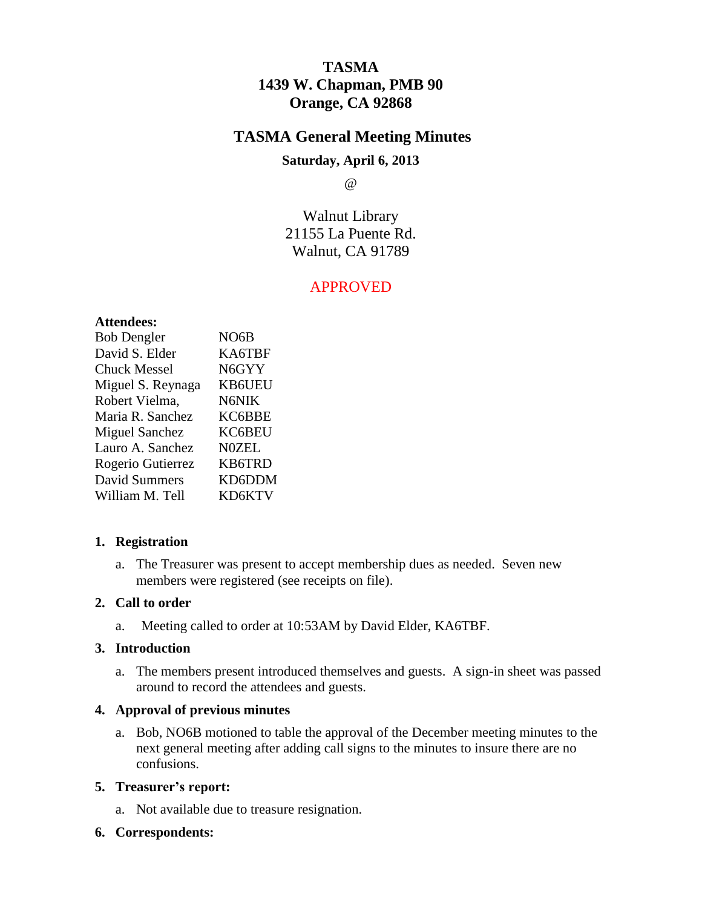# **TASMA 1439 W. Chapman, PMB 90 Orange, CA 92868**

## **TASMA General Meeting Minutes**

## **Saturday, April 6, 2013**

@

Walnut Library 21155 La Puente Rd. Walnut, CA 91789

## APPROVED

#### **Attendees:**

| <b>Bob Dengler</b>    | NO <sub>6</sub> B |
|-----------------------|-------------------|
| David S. Elder        | KA6TBF            |
| <b>Chuck Messel</b>   | N6GYY             |
| Miguel S. Reynaga     | <b>KB6UEU</b>     |
| Robert Vielma,        | N6NIK             |
| Maria R. Sanchez      | KC6BBE            |
| <b>Miguel Sanchez</b> | KC6BEU            |
| Lauro A. Sanchez      | <b>N0ZEL</b>      |
| Rogerio Gutierrez     | <b>KB6TRD</b>     |
| <b>David Summers</b>  | KD6DDM            |
| William M. Tell       | KD6KTV            |

## **1. Registration**

a. The Treasurer was present to accept membership dues as needed. Seven new members were registered (see receipts on file).

#### **2. Call to order**

a. Meeting called to order at 10:53AM by David Elder, KA6TBF.

## **3. Introduction**

a. The members present introduced themselves and guests. A sign-in sheet was passed around to record the attendees and guests.

## **4. Approval of previous minutes**

a. Bob, NO6B motioned to table the approval of the December meeting minutes to the next general meeting after adding call signs to the minutes to insure there are no confusions.

## **5. Treasurer's report:**

- a. Not available due to treasure resignation.
- **6. Correspondents:**